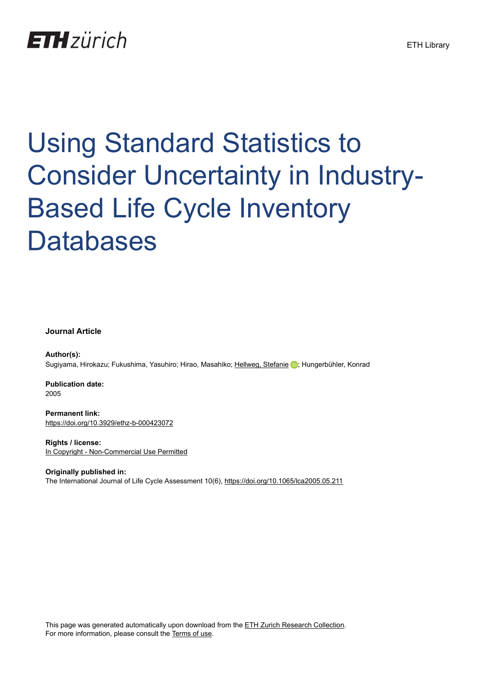## **ETH** zürich

# Using Standard Statistics to Consider Uncertainty in Industry-Based Life Cycle Inventory **Databases**

**Journal Article**

**Author(s):** Sugiyama, Hirokazu; Fukushima, Yasuhiro; Hirao, Masahiko; [Hellweg, Stefanie](https://orcid.org/0000-0001-6376-9878) D; Hungerbühler, Konrad

**Publication date:** 2005

**Permanent link:** <https://doi.org/10.3929/ethz-b-000423072>

**Rights / license:** [In Copyright - Non-Commercial Use Permitted](http://rightsstatements.org/page/InC-NC/1.0/)

**Originally published in:** The International Journal of Life Cycle Assessment 10(6),<https://doi.org/10.1065/lca2005.05.211>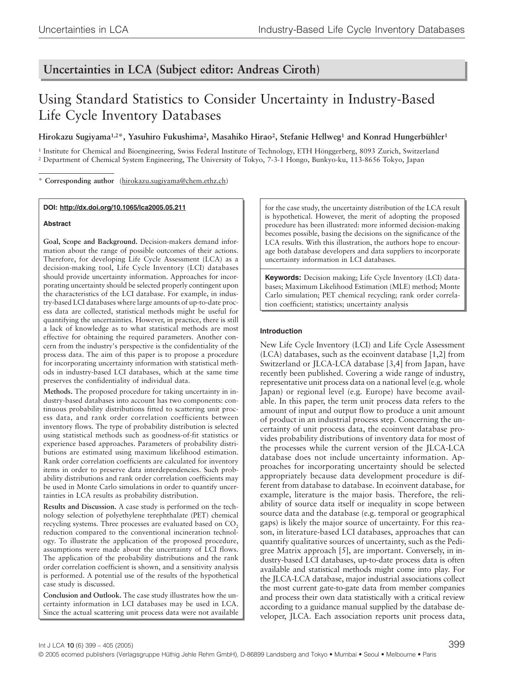## **Uncertainties in LCA (Subject editor: Andreas Ciroth)**

## Using Standard Statistics to Consider Uncertainty in Industry-Based Life Cycle Inventory Databases

**Hirokazu Sugiyama1,2\*, Yasuhiro Fukushima2, Masahiko Hirao2, Stefanie Hellweg1 and Konrad Hungerbühler1**

1 Institute for Chemical and Bioengineering, Swiss Federal Institute of Technology, ETH Hönggerberg, 8093 Zurich, Switzerland 2 Department of Chemical System Engineering, The University of Tokyo, 7-3-1 Hongo, Bunkyo-ku, 113-8656 Tokyo, Japan

\* **Corresponding author** (hirokazu.sugiyama@chem.ethz.ch)

**DOI: http://dx.doi.org/10.1065/lca2005.05.211**

#### **Abstract**

**Goal, Scope and Background.** Decision-makers demand information about the range of possible outcomes of their actions. Therefore, for developing Life Cycle Assessment (LCA) as a decision-making tool, Life Cycle Inventory (LCI) databases should provide uncertainty information. Approaches for incorporating uncertainty should be selected properly contingent upon the characteristics of the LCI database. For example, in industry-based LCI databases where large amounts of up-to-date process data are collected, statistical methods might be useful for quantifying the uncertainties. However, in practice, there is still a lack of knowledge as to what statistical methods are most effective for obtaining the required parameters. Another concern from the industry's perspective is the confidentiality of the process data. The aim of this paper is to propose a procedure for incorporating uncertainty information with statistical methods in industry-based LCI databases, which at the same time preserves the confidentiality of individual data.

**Methods.** The proposed procedure for taking uncertainty in industry-based databases into account has two components: continuous probability distributions fitted to scattering unit process data, and rank order correlation coefficients between inventory flows. The type of probability distribution is selected using statistical methods such as goodness-of-fit statistics or experience based approaches. Parameters of probability distributions are estimated using maximum likelihood estimation. Rank order correlation coefficients are calculated for inventory items in order to preserve data interdependencies. Such probability distributions and rank order correlation coefficients may be used in Monte Carlo simulations in order to quantify uncertainties in LCA results as probability distribution.

**Results and Discussion.** A case study is performed on the technology selection of polyethylene terephthalate (PET) chemical recycling systems. Three processes are evaluated based on CO<sub>2</sub> reduction compared to the conventional incineration technology. To illustrate the application of the proposed procedure, assumptions were made about the uncertainty of LCI flows. The application of the probability distributions and the rank order correlation coefficient is shown, and a sensitivity analysis is performed. A potential use of the results of the hypothetical case study is discussed.

**Conclusion and Outlook.** The case study illustrates how the uncertainty information in LCI databases may be used in LCA. Since the actual scattering unit process data were not available for the case study, the uncertainty distribution of the LCA result is hypothetical. However, the merit of adopting the proposed procedure has been illustrated: more informed decision-making becomes possible, basing the decisions on the significance of the LCA results. With this illustration, the authors hope to encourage both database developers and data suppliers to incorporate uncertainty information in LCI databases.

**Keywords:** Decision making; Life Cycle Inventory (LCI) databases; Maximum Likelihood Estimation (MLE) method; Monte Carlo simulation; PET chemical recycling; rank order correlation coefficient; statistics; uncertainty analysis

#### **Introduction**

New Life Cycle Inventory (LCI) and Life Cycle Assessment (LCA) databases, such as the ecoinvent database [1,2] from Switzerland or JLCA-LCA database [3,4] from Japan, have recently been published. Covering a wide range of industry, representative unit process data on a national level (e.g. whole Japan) or regional level (e.g. Europe) have become available. In this paper, the term unit process data refers to the amount of input and output flow to produce a unit amount of product in an industrial process step. Concerning the uncertainty of unit process data, the ecoinvent database provides probability distributions of inventory data for most of the processes while the current version of the JLCA-LCA database does not include uncertainty information. Approaches for incorporating uncertainty should be selected appropriately because data development procedure is different from database to database. In ecoinvent database, for example, literature is the major basis. Therefore, the reliability of source data itself or inequality in scope between source data and the database (e.g. temporal or geographical gaps) is likely the major source of uncertainty. For this reason, in literature-based LCI databases, approaches that can quantify qualitative sources of uncertainty, such as the Pedigree Matrix approach [5], are important. Conversely, in industry-based LCI databases, up-to-date process data is often available and statistical methods might come into play. For the JLCA-LCA database, major industrial associations collect the most current gate-to-gate data from member companies and process their own data statistically with a critical review according to a guidance manual supplied by the database developer, JLCA. Each association reports unit process data,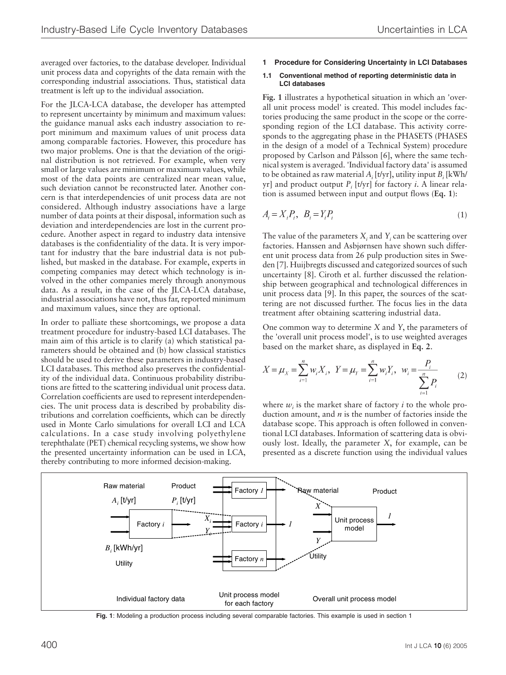averaged over factories, to the database developer. Individual unit process data and copyrights of the data remain with the corresponding industrial associations. Thus, statistical data treatment is left up to the individual association.

For the JLCA-LCA database, the developer has attempted to represent uncertainty by minimum and maximum values: the guidance manual asks each industry association to report minimum and maximum values of unit process data among comparable factories. However, this procedure has two major problems. One is that the deviation of the original distribution is not retrieved. For example, when very small or large values are minimum or maximum values, while most of the data points are centralized near mean value, such deviation cannot be reconstructed later. Another concern is that interdependencies of unit process data are not considered. Although industry associations have a large number of data points at their disposal, information such as deviation and interdependencies are lost in the current procedure. Another aspect in regard to industry data intensive databases is the confidentiality of the data. It is very important for industry that the bare industrial data is not published, but masked in the database. For example, experts in competing companies may detect which technology is involved in the other companies merely through anonymous data. As a result, in the case of the JLCA-LCA database, industrial associations have not, thus far, reported minimum and maximum values, since they are optional.

In order to palliate these shortcomings, we propose a data treatment procedure for industry-based LCI databases. The main aim of this article is to clarify (a) which statistical parameters should be obtained and (b) how classical statistics should be used to derive these parameters in industry-based LCI databases. This method also preserves the confidentiality of the individual data. Continuous probability distributions are fitted to the scattering individual unit process data. Correlation coefficients are used to represent interdependencies. The unit process data is described by probability distributions and correlation coefficients, which can be directly used in Monte Carlo simulations for overall LCI and LCA calculations. In a case study involving polyethylene terephthalate (PET) chemical recycling systems, we show how the presented uncertainty information can be used in LCA, thereby contributing to more informed decision-making.

#### **1 Procedure for Considering Uncertainty in LCI Databases**

#### **1.1 Conventional method of reporting deterministic data in LCI databases**

**Fig. 1** illustrates a hypothetical situation in which an 'overall unit process model' is created. This model includes factories producing the same product in the scope or the corresponding region of the LCI database. This activity corresponds to the aggregating phase in the PHASETS (PHASES in the design of a model of a Technical System) procedure proposed by Carlson and Pålsson [6], where the same technical system is averaged. 'Individual factory data' is assumed to be obtained as raw material *Ai* [t/yr], utility input *Bi* [kWh/ yr] and product output *Pi* [t/yr] for factory *i*. A linear relation is assumed between input and output flows (**Eq. 1**):

$$
A_i = X_i P_i, \quad B_i = Y_i P_i \tag{1}
$$

The value of the parameters  $X_i$  and  $Y_i$  can be scattering over factories. Hanssen and Asbjørnsen have shown such different unit process data from 26 pulp production sites in Sweden [7]. Huijbregts discussed and categorized sources of such uncertainty [8]. Ciroth et al. further discussed the relationship between geographical and technological differences in unit process data [9]. In this paper, the sources of the scattering are not discussed further. The focus lies in the data treatment after obtaining scattering industrial data.

One common way to determine *X* and *Y*, the parameters of the 'overall unit process model', is to use weighted averages based on the market share, as displayed in **Eq. 2**.

$$
X = \mu_X = \sum_{i=1}^n w_i X_i, \ \ Y = \mu_Y = \sum_{i=1}^n w_i Y_i, \ \ w_i = \frac{P_i}{\sum_{i=1}^n P_i}
$$
 (2)

where  $w_i$  is the market share of factory  $i$  to the whole production amount, and *n* is the number of factories inside the database scope. This approach is often followed in conventional LCI databases. Information of scattering data is obviously lost. Ideally, the parameter *X*, for example, can be presented as a discrete function using the individual values



**Fig. 1**: Modeling a production process including several comparable factories. This example is used in section 1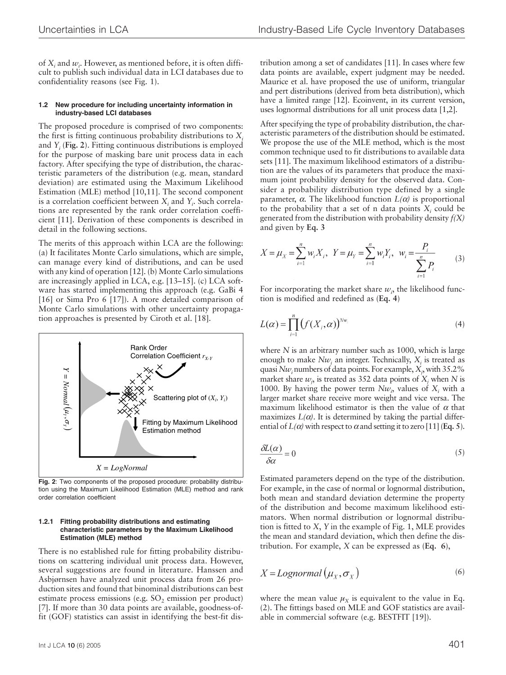of  $X_i$  and  $w_i$ . However, as mentioned before, it is often difficult to publish such individual data in LCI databases due to confidentiality reasons (see Fig. 1).

#### **1.2 New procedure for including uncertainty information in industry-based LCI databases**

The proposed procedure is comprised of two components: the first is fitting continuous probability distributions to *Xi* and *Yi* (**Fig. 2**). Fitting continuous distributions is employed for the purpose of masking bare unit process data in each factory. After specifying the type of distribution, the characteristic parameters of the distribution (e.g. mean, standard deviation) are estimated using the Maximum Likelihood Estimation (MLE) method [10,11]. The second component is a correlation coefficient between  $X_i$  and  $Y_i$ . Such correlations are represented by the rank order correlation coefficient [11]. Derivation of these components is described in detail in the following sections.

The merits of this approach within LCA are the following: (a) It facilitates Monte Carlo simulations, which are simple, can manage every kind of distributions, and can be used with any kind of operation [12]. (b) Monte Carlo simulations are increasingly applied in LCA, e.g. [13–15]. (c) LCA software has started implementing this approach (e.g. GaBi 4 [16] or Sima Pro 6 [17]). A more detailed comparison of Monte Carlo simulations with other uncertainty propagation approaches is presented by Ciroth et al. [18].



**Fig. 2**: Two components of the proposed procedure: probability distribution using the Maximum Likelihood Estimation (MLE) method and rank order correlation coefficient

#### **1.2.1 Fitting probability distributions and estimating characteristic parameters by the Maximum Likelihood Estimation (MLE) method**

There is no established rule for fitting probability distributions on scattering individual unit process data. However, several suggestions are found in literature. Hanssen and Asbjørnsen have analyzed unit process data from 26 production sites and found that binominal distributions can best estimate process emissions (e.g.  $SO_2$  emission per product) [7]. If more than 30 data points are available, goodness-offit (GOF) statistics can assist in identifying the best-fit distribution among a set of candidates [11]. In cases where few data points are available, expert judgment may be needed. Maurice et al. have proposed the use of uniform, triangular and pert distributions (derived from beta distribution), which have a limited range [12]. Ecoinvent, in its current version, uses lognormal distributions for all unit process data [1,2].

After specifying the type of probability distribution, the characteristic parameters of the distribution should be estimated. We propose the use of the MLE method, which is the most common technique used to fit distributions to available data sets [11]. The maximum likelihood estimators of a distribution are the values of its parameters that produce the maximum joint probability density for the observed data. Consider a probability distribution type defined by a single parameter,  $\alpha$ . The likelihood function  $L(\alpha)$  is proportional to the probability that a set of n data points  $X_i$  could be generated from the distribution with probability density *f(X)* and given by **Eq. 3**

$$
X = \mu_X = \sum_{i=1}^n w_i X_i, \ \ Y = \mu_Y = \sum_{i=1}^n w_i Y_i, \ \ w_i = \frac{P_i}{\sum_{i=1}^n P_i}
$$
 (3)

For incorporating the market share  $w_i$ , the likelihood function is modified and redefined as (**Eq. 4**)

$$
L(\alpha) = \prod_{i=1}^{n} \left( f(X_i, \alpha) \right)^{\lambda w_i}
$$
 (4)

where *N* is an arbitrary number such as 1000, which is large enough to make  $N w_i$  an integer. Technically,  $X_i$  is treated as quasi *Nw<sub>i</sub>* numbers of data points. For example, *X<sub>j</sub>*, with 35.2% market share  $w_j$ , is treated as 352 data points of  $X_j$  when N is 1000. By having the power term  $N w_i$ , values of  $X_i$  with a larger market share receive more weight and vice versa. The maximum likelihood estimator is then the value of  $\alpha$  that maximizes  $L(\alpha)$ . It is determined by taking the partial differential of  $L(\alpha)$  with respect to  $\alpha$  and setting it to zero [11] (**Eq. 5**).

$$
\frac{\partial L(\alpha)}{\partial \alpha} = 0 \tag{5}
$$

Estimated parameters depend on the type of the distribution. For example, in the case of normal or lognormal distribution, both mean and standard deviation determine the property of the distribution and become maximum likelihood estimators. When normal distribution or lognormal distribution is fitted to *X*, *Y* in the example of Fig. 1, MLE provides the mean and standard deviation, which then define the distribution. For example, *X* can be expressed as (**Eq. 6**),

$$
X = Lognormal\left(\mu_X, \sigma_X\right) \tag{6}
$$

where the mean value  $\mu_X$  is equivalent to the value in Eq. (2). The fittings based on MLE and GOF statistics are available in commercial software (e.g. BESTFIT [19]).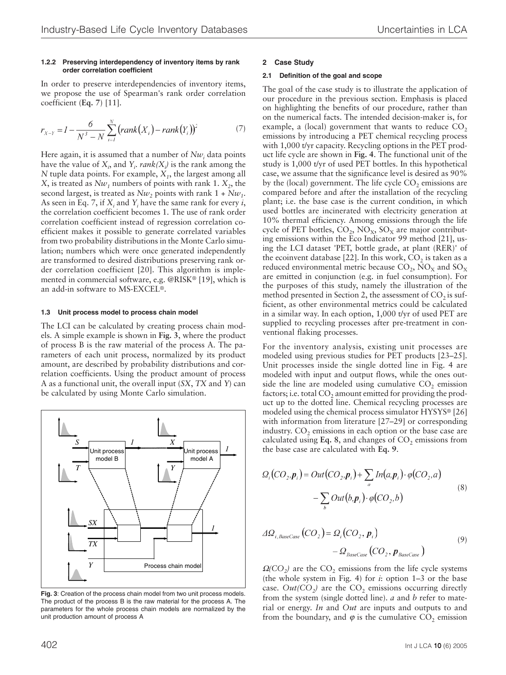In order to preserve interdependencies of inventory items, we propose the use of Spearman's rank order correlation coefficient (**Eq. 7**) [11].

$$
r_{X-Y} = 1 - \frac{6}{N^3 - N} \sum_{i=1}^{N} (rank(X_i) - rank(Y_i))^2
$$
 (7)

Here again, it is assumed that a number of  $N w_i$  data points have the value of  $X_i$ , and  $Y_i$ .  $rank(X_i)$  is the rank among the *N* tuple data points. For example,  $\overline{X}_1$ , the largest among all *X*, is treated as  $Nw_1$  numbers of points with rank 1.  $X_2$ , the second largest, is treated as  $Nw_2$  points with rank  $1 + Nw_1$ . As seen in Eq. 7, if  $X_i$  and  $Y_i$  have the same rank for every *i*, the correlation coefficient becomes 1. The use of rank order correlation coefficient instead of regression correlation coefficient makes it possible to generate correlated variables from two probability distributions in the Monte Carlo simulation; numbers which were once generated independently are transformed to desired distributions preserving rank order correlation coefficient [20]. This algorithm is implemented in commercial software, e.g. @RISK® [19], which is an add-in software to MS-EXCEL®.

#### **1.3 Unit process model to process chain model**

The LCI can be calculated by creating process chain models. A simple example is shown in **Fig. 3**, where the product of process B is the raw material of the process A. The parameters of each unit process, normalized by its product amount, are described by probability distributions and correlation coefficients. Using the product amount of process A as a functional unit, the overall input (*SX*, *TX* and *Y*) can be calculated by using Monte Carlo simulation.



**Fig. 3**: Creation of the process chain model from two unit process models. The product of the process B is the raw material for the process A. The parameters for the whole process chain models are normalized by the unit production amount of process A

### **2 Case Study**

#### **2.1 Definition of the goal and scope**

The goal of the case study is to illustrate the application of our procedure in the previous section. Emphasis is placed on highlighting the benefits of our procedure, rather than on the numerical facts. The intended decision-maker is, for example, a (local) government that wants to reduce  $CO<sub>2</sub>$ emissions by introducing a PET chemical recycling process with 1,000 t/yr capacity. Recycling options in the PET product life cycle are shown in **Fig. 4**. The functional unit of the study is 1,000 t/yr of used PET bottles. In this hypothetical case, we assume that the significance level is desired as 90% by the (local) government. The life cycle  $CO<sub>2</sub>$  emissions are compared before and after the installation of the recycling plant; i.e. the base case is the current condition, in which used bottles are incinerated with electricity generation at 10% thermal efficiency. Among emissions through the life cycle of PET bottles,  $CO_2$ ,  $NO_X$ ,  $SO_X$  are major contributing emissions within the Eco Indicator 99 method [21], using the LCI dataset 'PET, bottle grade, at plant (RER)' of the ecoinvent database [22]. In this work,  $CO<sub>2</sub>$  is taken as a reduced environmental metric because  $CO_2$ ,  $NO_x$  and  $SO_y$ are emitted in conjunction (e.g. in fuel consumption). For the purposes of this study, namely the illustration of the method presented in Section 2, the assessment of  $CO<sub>2</sub>$  is sufficient, as other environmental metrics could be calculated in a similar way. In each option, 1,000 t/yr of used PET are supplied to recycling processes after pre-treatment in conventional flaking processes.

For the inventory analysis, existing unit processes are modeled using previous studies for PET products [23–25]. Unit processes inside the single dotted line in Fig. 4 are modeled with input and output flows, while the ones outside the line are modeled using cumulative  $CO<sub>2</sub>$  emission factors; i.e. total  $CO<sub>2</sub>$  amount emitted for providing the product up to the dotted line. Chemical recycling processes are modeled using the chemical process simulator HYSYS® [26] with information from literature [27–29] or corresponding industry.  $CO<sub>2</sub>$  emissions in each option or the base case are calculated using Eq. 8, and changes of CO<sub>2</sub> emissions from the base case are calculated with **Eq. 9**.

$$
\mathcal{Q}_i(CO_2, \boldsymbol{p}_i) = Out(CO_2, \boldsymbol{p}_i) + \sum_a In(a, \boldsymbol{p}_i) \cdot \varphi(CO_2, a)
$$
  
- 
$$
\sum_b Out(b, \boldsymbol{p}_i) \cdot \varphi(CO_2, b)
$$
 (8)

$$
\Delta\Omega_{i, BaseCase} (CO_2) = \Omega_i (CO_2, \mathbf{p}_i)
$$
  
- 
$$
\Omega_{BaseCase} (CO_2, \mathbf{p}_{BaseCase})
$$
 (9)

 $\Omega$ (CO<sub>2</sub>) are the CO<sub>2</sub> emissions from the life cycle systems (the whole system in Fig. 4) for  $i$ : option  $1-3$  or the base case.  $Out(CO_2)$  are the  $CO_2$  emissions occurring directly from the system (single dotted line). *a* and *b* refer to material or energy. *In* and *Out* are inputs and outputs to and from the boundary, and  $\varphi$  is the cumulative  $CO_2$  emission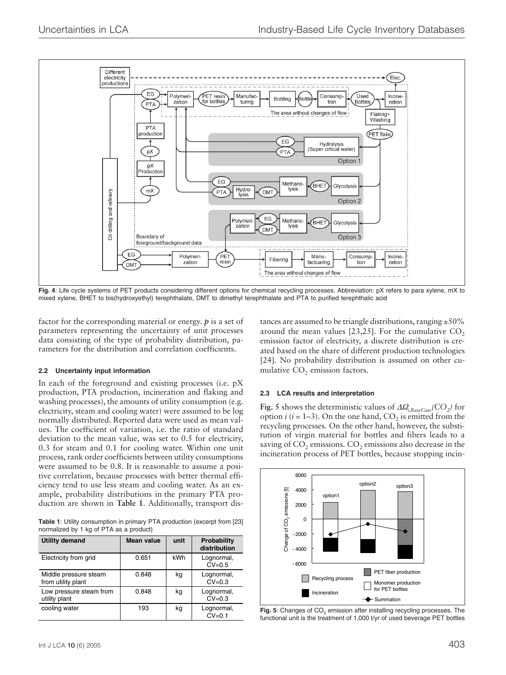

**Fig. 4**: Life cycle systems of PET products considering different options for chemical recycling processes. Abbreviation: pX refers to para xylene, mX to mixed xylene, BHET to bis(hydroxyethyl) terephthalate, DMT to dimethyl terephthalate and PTA to purified terephthalic acid

factor for the corresponding material or energy. *p* is a set of parameters representing the uncertainty of unit processes data consisting of the type of probability distribution, parameters for the distribution and correlation coefficients.

#### **2.2 Uncertainty input information**

In each of the foreground and existing processes (i.e. pX production, PTA production, incineration and flaking and washing processes), the amounts of utility consumption (e.g. electricity, steam and cooling water) were assumed to be log normally distributed. Reported data were used as mean values. The coefficient of variation, i.e. the ratio of standard deviation to the mean value, was set to 0.5 for electricity, 0.3 for steam and 0.1 for cooling water. Within one unit process, rank order coefficients between utility consumptions were assumed to be 0.8. It is reasonable to assume a positive correlation, because processes with better thermal efficiency tend to use less steam and cooling water. As an example, probability distributions in the primary PTA production are shown in **Table 1**. Additionally, transport dis-

**Table 1**: Utility consumption in primary PTA production (excerpt from [23] normalized by 1 kg of PTA as a product)

| Utility demand                              | <b>Mean value</b> | unit       | Probability<br>distribution |
|---------------------------------------------|-------------------|------------|-----------------------------|
| Electricity from grid                       | 0.651             | <b>kWh</b> | Lognormal,<br>$CV=0.5$      |
| Middle pressure steam<br>from utility plant | 0.848             | kg         | Lognormal,<br>$CV=0.3$      |
| Low pressure steam from<br>utility plant    | 0.848             | kg         | Lognormal,<br>$CV=0.3$      |
| cooling water                               | 193               | kg         | Lognormal,<br>$CV=0.1$      |

tances are assumed to be triangle distributions, ranging  $\pm 50\%$ around the mean values  $[23,25]$ . For the cumulative CO<sub>2</sub> emission factor of electricity, a discrete distribution is created based on the share of different production technologies [24]. No probability distribution is assumed on other cumulative CO<sub>2</sub> emission factors.

#### **2.3 LCA results and interpretation**

**Fig. 5** shows the deterministic values of ∆Ω*i,BaseCase(CO2)* for option  $i$  ( $i$  = 1–3). On the one hand,  $CO<sub>2</sub>$  is emitted from the recycling processes. On the other hand, however, the substitution of virgin material for bottles and fibers leads to a saving of  $CO<sub>2</sub>$  emissions.  $CO<sub>2</sub>$  emissions also decrease in the incineration process of PET bottles, because stopping incin-



**Fig. 5:** Changes of CO<sub>2</sub> emission after installing recycling processes. The functional unit is the treatment of 1,000 t/yr of used beverage PET bottles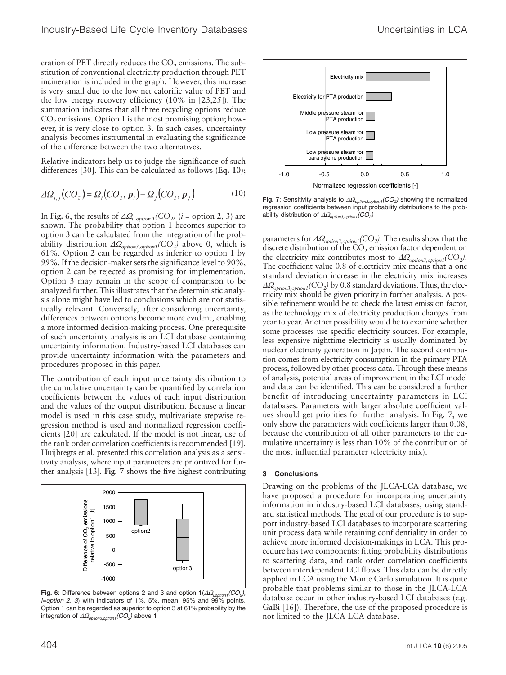eration of PET directly reduces the CO<sub>2</sub> emissions. The substitution of conventional electricity production through PET incineration is included in the graph. However, this increase is very small due to the low net calorific value of PET and the low energy recovery efficiency (10% in [23,25]). The summation indicates that all three recycling options reduce  $CO<sub>2</sub>$  emissions. Option 1 is the most promising option; however, it is very close to option 3. In such cases, uncertainty analysis becomes instrumental in evaluating the significance of the difference between the two alternatives.

Relative indicators help us to judge the significance of such differences [30]. This can be calculated as follows (**Eq. 10**);

$$
\Delta\Omega_{i,j}(CO_2) = \Omega_i(CO_2, p_i) - \Omega_j(CO_2, p_j)
$$
\n(10)

In Fig. 6, the results of  $\Delta\Omega_{i,\text{option 1}}(CO_2)$  (*i* = option 2, 3) are shown. The probability that option 1 becomes superior to option 3 can be calculated from the integration of the probability distribution ∆Ω*option3,option1(CO2)* above 0, which is 61%. Option 2 can be regarded as inferior to option 1 by 99%. If the decision-maker sets the significance level to 90%, option 2 can be rejected as promising for implementation. Option 3 may remain in the scope of comparison to be analyzed further. This illustrates that the deterministic analysis alone might have led to conclusions which are not statistically relevant. Conversely, after considering uncertainty, differences between options become more evident, enabling a more informed decision-making process. One prerequisite of such uncertainty analysis is an LCI database containing uncertainty information. Industry-based LCI databases can provide uncertainty information with the parameters and procedures proposed in this paper.

The contribution of each input uncertainty distribution to the cumulative uncertainty can be quantified by correlation coefficients between the values of each input distribution and the values of the output distribution. Because a linear model is used in this case study, multivariate stepwise regression method is used and normalized regression coefficients [20] are calculated. If the model is not linear, use of the rank order correlation coefficients is recommended [19]. Huijbregts et al. presented this correlation analysis as a sensitivity analysis, where input parameters are prioritized for further analysis [13]. **Fig. 7** shows the five highest contributing



**Fig. 6**: Difference between options 2 and 3 and option 1(∆Ω<sub>i,option1</sub>(CO<sub>2</sub>), i=option 2, 3) with indicators of 1%, 5%, mean, 95% and 99% points. Option 1 can be regarded as superior to option 3 at 61% probability by the integration of  $\Delta\Omega_{\text{option3},\text{option1}}(CO_2)$  above 1



**Fig. 7**: Sensitivity analysis to ∆Ω<sub>option3,option1</sub>(CO<sub>2</sub>) showing the normalized regression coefficients between input probability distributions to the probability distribution of  $\Delta\Omega_{\text{option3},\text{option1}}(CO_2)$ 

parameters for ∆Ω*option3,option1(CO2)*. The results show that the discrete distribution of the  $CO_2$  emission factor dependent on the electricity mix contributes most to  $\Delta\Omega_{\text{option3},\text{option1}}(\text{CO}_2)$ . The coefficient value 0.8 of electricity mix means that a one standard deviation increase in the electricity mix increases  $ΔΩ<sub>option3,option1</sub>(CO<sub>2</sub>)$  by 0.8 standard deviations. Thus, the electricity mix should be given priority in further analysis. A possible refinement would be to check the latest emission factor, as the technology mix of electricity production changes from year to year. Another possibility would be to examine whether some processes use specific electricity sources. For example, less expensive nighttime electricity is usually dominated by nuclear electricity generation in Japan. The second contribution comes from electricity consumption in the primary PTA process, followed by other process data. Through these means of analysis, potential areas of improvement in the LCI model and data can be identified. This can be considered a further benefit of introducing uncertainty parameters in LCI databases. Parameters with larger absolute coefficient values should get priorities for further analysis. In Fig. 7, we only show the parameters with coefficients larger than 0.08, because the contribution of all other parameters to the cumulative uncertainty is less than 10% of the contribution of the most influential parameter (electricity mix).

#### **3 Conclusions**

Drawing on the problems of the JLCA-LCA database, we have proposed a procedure for incorporating uncertainty information in industry-based LCI databases, using standard statistical methods. The goal of our procedure is to support industry-based LCI databases to incorporate scattering unit process data while retaining confidentiality in order to achieve more informed decision-makings in LCA. This procedure has two components: fitting probability distributions to scattering data, and rank order correlation coefficients between interdependent LCI flows. This data can be directly applied in LCA using the Monte Carlo simulation. It is quite probable that problems similar to those in the JLCA-LCA database occur in other industry-based LCI databases (e.g. GaBi [16]). Therefore, the use of the proposed procedure is not limited to the JLCA-LCA database.